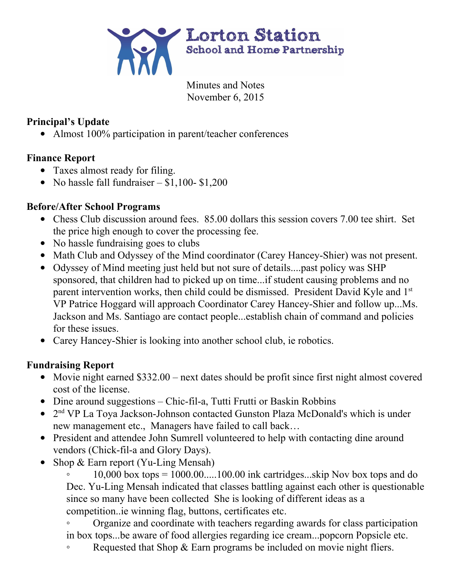

Minutes and Notes November 6, 2015

### **Principal's Update**

• Almost 100% participation in parent/teacher conferences

# **Finance Report**

- Taxes almost ready for filing.
- No hassle fall fundraiser  $$1,100 $1,200$

## **Before/After School Programs**

- Chess Club discussion around fees. 85.00 dollars this session covers 7.00 tee shirt. Set the price high enough to cover the processing fee.
- No hassle fundraising goes to clubs
- Math Club and Odyssey of the Mind coordinator (Carey Hancey-Shier) was not present.
- Odyssey of Mind meeting just held but not sure of details....past policy was SHP sponsored, that children had to picked up on time...if student causing problems and no parent intervention works, then child could be dismissed. President David Kyle and 1<sup>st</sup> VP Patrice Hoggard will approach Coordinator Carey Hancey-Shier and follow up...Ms. Jackson and Ms. Santiago are contact people...establish chain of command and policies for these issues.
- Carey Hancey-Shier is looking into another school club, ie robotics.

# **Fundraising Report**

- Movie night earned \$332.00 next dates should be profit since first night almost covered cost of the license.
- Dine around suggestions  $-$  Chic-fil-a, Tutti Frutti or Baskin Robbins
- 2<sup>nd</sup> VP La Toya Jackson-Johnson contacted Gunston Plaza McDonald's which is under new management etc., Managers have failed to call back…
- President and attendee John Sumrell volunteered to help with contacting dine around vendors (Chick-fil-a and Glory Days).
- Shop  $& Earn$  report (Yu-Ling Mensah)

 $10,000$  box tops =  $1000.00$ .....100.00 ink cartridges...skip Nov box tops and do Dec. Yu-Ling Mensah indicated that classes battling against each other is questionable since so many have been collected She is looking of different ideas as a competition..ie winning flag, buttons, certificates etc.

◦ Organize and coordinate with teachers regarding awards for class participation in box tops...be aware of food allergies regarding ice cream...popcorn Popsicle etc.

◦ Requested that Shop & Earn programs be included on movie night fliers.